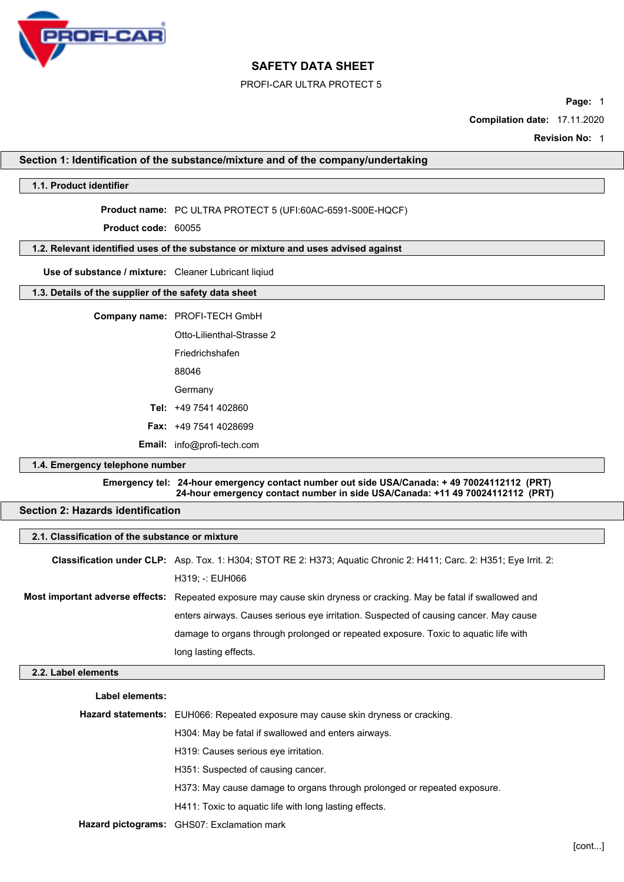

#### PROFI-CAR ULTRA PROTECT 5

**Page:** 1

**Compilation date:** 17.11.2020

**Revision No:** 1

## **Section 1: Identification of the substance/mixture and of the company/undertaking**

#### **1.1. Product identifier**

**Product name:** PC ULTRA PROTECT 5 (UFI:60AC-6591-S00E-HQCF)

**Product code:** 60055

# **1.2. Relevant identified uses of the substance or mixture and uses advised against**

**Use of substance / mixture:** Cleaner Lubricant liqiud

# **1.3. Details of the supplier of the safety data sheet**

**Company name:** PROFI-TECH GmbH

Otto-Lilienthal-Strasse 2 Friedrichshafen 88046 **Germany Tel:** +49 7541 402860 **Fax:** +49 7541 4028699 **Email:** info@profi-tech.com

#### **1.4. Emergency telephone number**

**Emergency tel: 24-hour emergency contact number out side USA/Canada: + 49 70024112112 (PRT) 24-hour emergency contact number in side USA/Canada: +11 49 70024112112 (PRT)**

# **Section 2: Hazards identification**

| 2.1. Classification of the substance or mixture |                                                                                                                            |  |
|-------------------------------------------------|----------------------------------------------------------------------------------------------------------------------------|--|
|                                                 | <b>Classification under CLP:</b> Asp. Tox. 1: H304; STOT RE 2: H373; Aquatic Chronic 2: H411; Carc. 2: H351; Eye Irrit. 2: |  |
|                                                 | H319; -: EUH066                                                                                                            |  |
|                                                 | Most important adverse effects: Repeated exposure may cause skin dryness or cracking. May be fatal if swallowed and        |  |
|                                                 | enters airways. Causes serious eye irritation. Suspected of causing cancer. May cause                                      |  |
|                                                 | damage to organs through prolonged or repeated exposure. Toxic to aquatic life with                                        |  |
|                                                 | long lasting effects.                                                                                                      |  |
| 2.2. Label elements                             |                                                                                                                            |  |

**Label elements:**

| Hazard statements: EUH066: Repeated exposure may cause skin dryness or cracking. |
|----------------------------------------------------------------------------------|
| H304: May be fatal if swallowed and enters airways.                              |
| H319: Causes serious eye irritation.                                             |
| H351: Suspected of causing cancer.                                               |
| H373: May cause damage to organs through prolonged or repeated exposure.         |
| H411: Toxic to aguatic life with long lasting effects.                           |
| Hazard pictograms: GHS07: Exclamation mark                                       |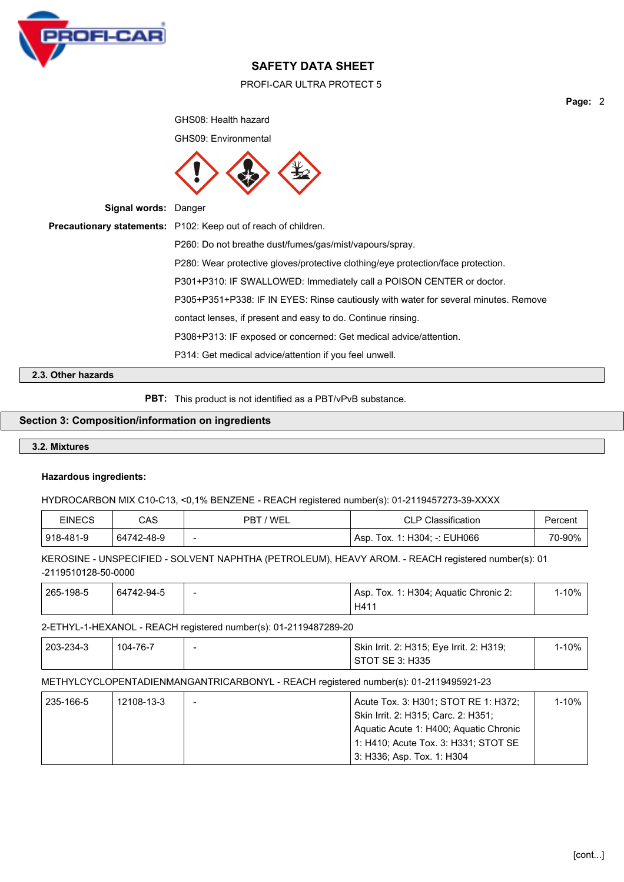

## PROFI-CAR ULTRA PROTECT 5

**Page:** 2

GHS08: Health hazard GHS09: Environmental **Signal words:** Danger **Precautionary statements:** P102: Keep out of reach of children. P260: Do not breathe dust/fumes/gas/mist/vapours/spray. P280: Wear protective gloves/protective clothing/eye protection/face protection. P301+P310: IF SWALLOWED: Immediately call a POISON CENTER or doctor. P305+P351+P338: IF IN EYES: Rinse cautiously with water for several minutes. Remove contact lenses, if present and easy to do. Continue rinsing. P308+P313: IF exposed or concerned: Get medical advice/attention. P314: Get medical advice/attention if you feel unwell.

## **2.3. Other hazards**

**PBT:** This product is not identified as a PBT/vPvB substance.

#### **Section 3: Composition/information on ingredients**

#### **3.2. Mixtures**

#### **Hazardous ingredients:**

HYDROCARBON MIX C10-C13, <0,1% BENZENE - REACH registered number(s): 01-2119457273-39-XXXX

| <b>EINECS</b> | CAS        | 'WEL<br>PBT              | <b>CLP Classification</b>    | Percent |
|---------------|------------|--------------------------|------------------------------|---------|
| 918-481-9     | 64742-48-9 | $\overline{\phantom{a}}$ | Asp. Tox. 1: H304; -: EUH066 | 70-90%  |

KEROSINE - UNSPECIFIED - SOLVENT NAPHTHA (PETROLEUM), HEAVY AROM. - REACH registered number(s): 01 -2119510128-50-0000

| 265-198-5 | 64742-94-5 | Asp. Tox. 1: H304: Aquatic Chronic 2: | l-10% |
|-----------|------------|---------------------------------------|-------|
|           |            | H41                                   |       |

## 2-ETHYL-1-HEXANOL - REACH registered number(s): 01-2119487289-20

| 203-234-3 | 104-76-7 | Skin Irrit. 2: H315; Eye Irrit. 2: H319; | .-10% <sup>-</sup> |
|-----------|----------|------------------------------------------|--------------------|
|           |          | STOT SE 3: H335                          |                    |

# METHYLCYCLOPENTADIENMANGANTRICARBONYL - REACH registered number(s): 01-2119495921-23

| 235-166-5 | 12108-13-3 | Acute Tox. 3: H301; STOT RE 1: H372;   | 1-10% |
|-----------|------------|----------------------------------------|-------|
|           |            | Skin Irrit. 2: H315: Carc. 2: H351:    |       |
|           |            | Aquatic Acute 1: H400; Aquatic Chronic |       |
|           |            | 1: H410; Acute Tox. 3: H331; STOT SE   |       |
|           |            | 3: H336; Asp. Tox. 1: H304             |       |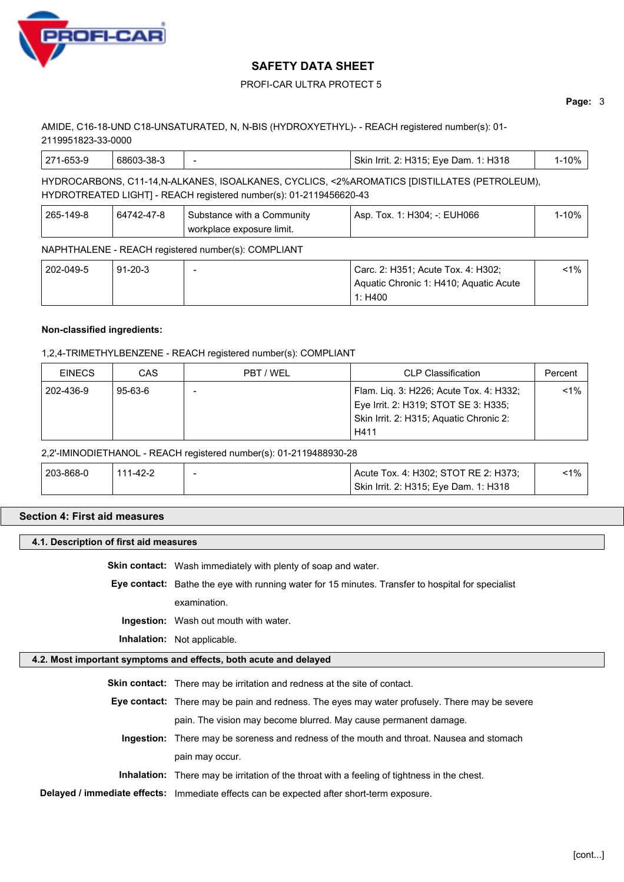

# PROFI-CAR ULTRA PROTECT 5

**Page:** 3

# AMIDE, C16-18-UND C18-UNSATURATED, N, N-BIS (HYDROXYETHYL)- - REACH registered number(s): 01- 2119951823-33-0000

|  | 271<br>-653-9 | `3-38-J<br>68603 |  | 1: H318<br>Eve<br>Skin<br>H315:<br>Dam.<br>Irrit.<br>. | $\cdot$ 00/ |
|--|---------------|------------------|--|--------------------------------------------------------|-------------|
|--|---------------|------------------|--|--------------------------------------------------------|-------------|

# HYDROCARBONS, C11-14,N-ALKANES, ISOALKANES, CYCLICS, <2%AROMATICS [DISTILLATES (PETROLEUM), HYDROTREATED LIGHT] - REACH registered number(s): 01-2119456620-43

| 265-149-8 | 64742-47-8 | . Substance with a Community $\,$ | Asp. Tox. 1: H304: -: EUH066 | l-10% |
|-----------|------------|-----------------------------------|------------------------------|-------|
|           |            | ' workplace exposure limit.       |                              |       |

## NAPHTHALENE - REACH registered number(s): COMPLIANT

| 202-049-5 | $91 - 20 - 3$ | Carc. 2: H351; Acute Tox. 4: H302;     | <1% ີ |
|-----------|---------------|----------------------------------------|-------|
|           |               | Aquatic Chronic 1: H410; Aquatic Acute |       |
|           |               | 1: $H400$                              |       |

# **Non-classified ingredients:**

# 1,2,4-TRIMETHYLBENZENE - REACH registered number(s): COMPLIANT

| <b>EINECS</b> | CAS           | PBT / WEL | <b>CLP Classification</b>                                                                                                          | Percent |
|---------------|---------------|-----------|------------------------------------------------------------------------------------------------------------------------------------|---------|
| 202-436-9     | $95 - 63 - 6$ |           | Flam. Lig. 3: H226; Acute Tox. 4: H332;<br>Eye Irrit. 2: H319; STOT SE 3: H335;<br>Skin Irrit. 2: H315; Aquatic Chronic 2:<br>H411 | $< 1\%$ |

## 2,2'-IMINODIETHANOL - REACH registered number(s): 01-2119488930-28

| 203-868-0 | 111-42-2 | Acute Tox. 4: H302; STOT RE 2: H373;  | $1\%$ |
|-----------|----------|---------------------------------------|-------|
|           |          | Skin Irrit. 2: H315; Eye Dam. 1: H318 |       |

## **Section 4: First aid measures**

## **4.1. Description of first aid measures**

**Skin contact:** Wash immediately with plenty of soap and water.

**Eye contact:** Bathe the eye with running water for 15 minutes. Transfer to hospital for specialist

examination.

**Ingestion:** Wash out mouth with water.

**Inhalation:** Not applicable.

# **4.2. Most important symptoms and effects, both acute and delayed**

| <b>Skin contact:</b> There may be irritation and redness at the site of contact.                     |
|------------------------------------------------------------------------------------------------------|
| <b>Eye contact:</b> There may be pain and redness. The eyes may water profusely. There may be severe |
| pain. The vision may become blurred. May cause permanent damage.                                     |
| Ingestion: There may be soreness and redness of the mouth and throat. Nausea and stomach             |
| pain may occur.                                                                                      |
| <b>Inhalation:</b> There may be irritation of the throat with a feeling of tightness in the chest.   |
| Delayed / immediate effects: Immediate effects can be expected after short-term exposure.            |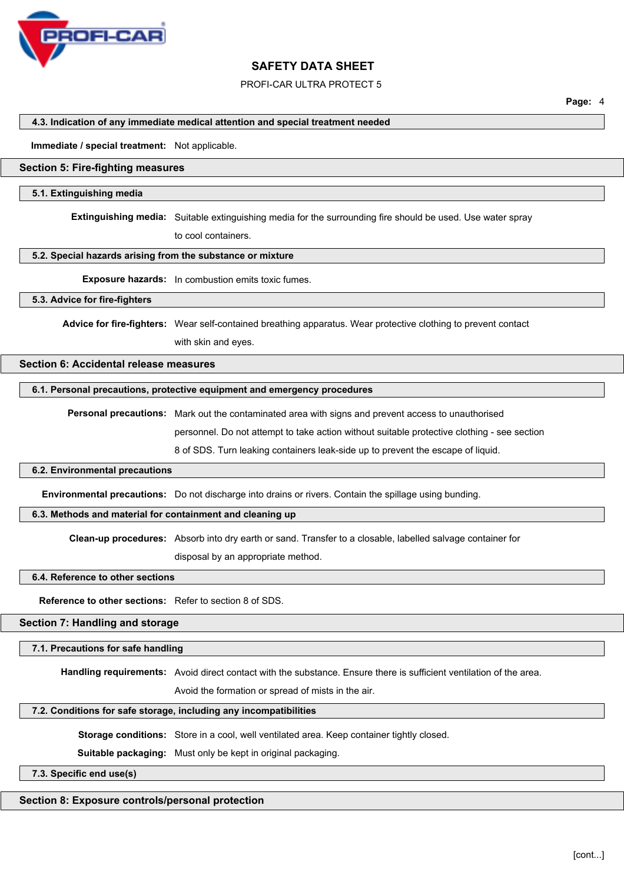

PROFI-CAR ULTRA PROTECT 5

**Page:** 4

#### **4.3. Indication of any immediate medical attention and special treatment needed**

#### **Immediate / special treatment:** Not applicable.

#### **Section 5: Fire-fighting measures**

#### **5.1. Extinguishing media**

**Extinguishing media:** Suitable extinguishing media for the surrounding fire should be used. Use water spray

to cool containers.

#### **5.2. Special hazards arising from the substance or mixture**

**Exposure hazards:** In combustion emits toxic fumes.

#### **5.3. Advice for fire-fighters**

**Advice for fire-fighters:** Wear self-contained breathing apparatus. Wear protective clothing to prevent contact with skin and eyes.

# **Section 6: Accidental release measures**

#### **6.1. Personal precautions, protective equipment and emergency procedures**

**Personal precautions:** Mark out the contaminated area with signs and prevent access to unauthorised

personnel. Do not attempt to take action without suitable protective clothing - see section

8 of SDS. Turn leaking containers leak-side up to prevent the escape of liquid.

#### **6.2. Environmental precautions**

**Environmental precautions:** Do not discharge into drains or rivers. Contain the spillage using bunding.

#### **6.3. Methods and material for containment and cleaning up**

**Clean-up procedures:** Absorb into dry earth or sand. Transfer to a closable, labelled salvage container for

disposal by an appropriate method.

#### **6.4. Reference to other sections**

**Reference to other sections:** Refer to section 8 of SDS.

## **Section 7: Handling and storage**

#### **7.1. Precautions for safe handling**

**Handling requirements:** Avoid direct contact with the substance. Ensure there is sufficient ventilation of the area.

Avoid the formation or spread of mists in the air.

#### **7.2. Conditions for safe storage, including any incompatibilities**

**Storage conditions:** Store in a cool, well ventilated area. Keep container tightly closed.

**Suitable packaging:** Must only be kept in original packaging.

## **7.3. Specific end use(s)**

## **Section 8: Exposure controls/personal protection**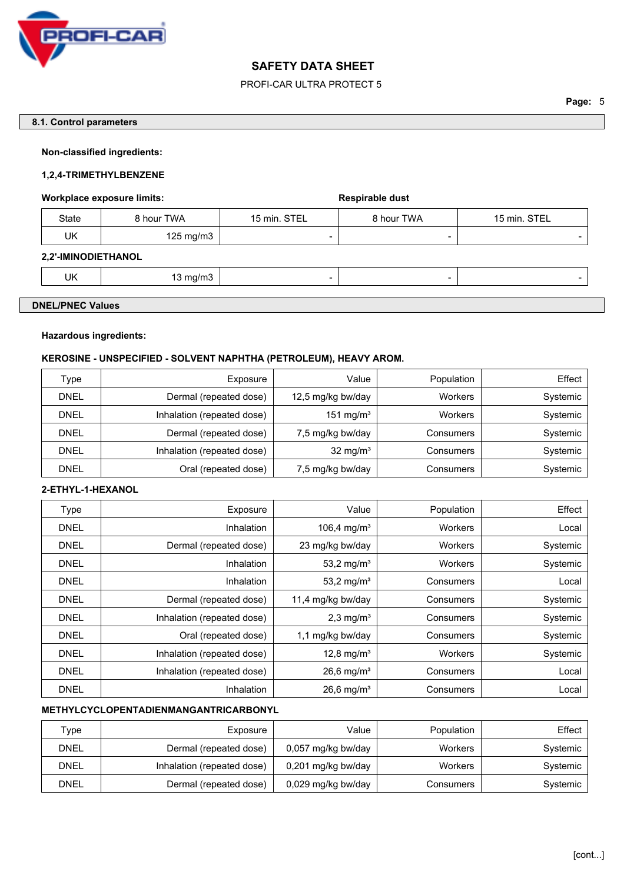

# PROFI-CAR ULTRA PROTECT 5

## **8.1. Control parameters**

## **Non-classified ingredients:**

## **1,2,4-TRIMETHYLBENZENE**

## Workplace exposure limits: **Workplace exposure limits:** Respirable dust

| State | 3 hour TWA | 15 min. STEL | <b>8 hour TWA</b>        | 15 min. STEL |
|-------|------------|--------------|--------------------------|--------------|
| UK    | 125 mg/m3  | -            | $\overline{\phantom{0}}$ | -            |

#### **2,2'-IMINODIETHANOL**

| Jk<br>$\sim$ | ma/m |  |  |
|--------------|------|--|--|
|              |      |  |  |

# **DNEL/PNEC Values**

# **Hazardous ingredients:**

## **KEROSINE - UNSPECIFIED - SOLVENT NAPHTHA (PETROLEUM), HEAVY AROM.**

| Type        | Exposure                   | Value                 | Population | Effect   |
|-------------|----------------------------|-----------------------|------------|----------|
| <b>DNEL</b> | Dermal (repeated dose)     | 12,5 mg/kg bw/day     | Workers    | Systemic |
| DNEL        | Inhalation (repeated dose) | 151 mg/m <sup>3</sup> | Workers    | Systemic |
| <b>DNEL</b> | Dermal (repeated dose)     | 7,5 mg/kg bw/day      | Consumers  | Systemic |
| <b>DNEL</b> | Inhalation (repeated dose) | 32 mg/m <sup>3</sup>  | Consumers  | Systemic |
| <b>DNEL</b> | Oral (repeated dose)       | 7,5 mg/kg bw/day      | Consumers  | Systemic |

# **2-ETHYL-1-HEXANOL**

| Type        | Exposure                   | Value                    | Population | Effect   |
|-------------|----------------------------|--------------------------|------------|----------|
| <b>DNEL</b> | Inhalation                 | 106,4 mg/m <sup>3</sup>  | Workers    | Local    |
| <b>DNEL</b> | Dermal (repeated dose)     | 23 mg/kg bw/day          | Workers    | Systemic |
| <b>DNEL</b> | Inhalation                 | 53,2 mg/m <sup>3</sup>   | Workers    | Systemic |
| <b>DNEL</b> | Inhalation                 | 53,2 mg/m <sup>3</sup>   | Consumers  | Local    |
| <b>DNEL</b> | Dermal (repeated dose)     | 11,4 mg/kg bw/day        | Consumers  | Systemic |
| <b>DNEL</b> | Inhalation (repeated dose) | $2,3$ mg/m <sup>3</sup>  | Consumers  | Systemic |
| <b>DNEL</b> | Oral (repeated dose)       | 1,1 mg/kg bw/day         | Consumers  | Systemic |
| <b>DNEL</b> | Inhalation (repeated dose) | 12,8 mg/ $m^3$           | Workers    | Systemic |
| <b>DNEL</b> | Inhalation (repeated dose) | $26,6$ mg/m <sup>3</sup> | Consumers  | Local    |
| <b>DNEL</b> | Inhalation                 | $26,6$ mg/m <sup>3</sup> | Consumers  | Local    |

# **METHYLCYCLOPENTADIENMANGANTRICARBONYL**

| Type        | Exposure                   | Value              | Population | Effect   |
|-------------|----------------------------|--------------------|------------|----------|
| <b>DNEL</b> | Dermal (repeated dose)     | 0,057 mg/kg bw/day | Workers    | Systemic |
| <b>DNEL</b> | Inhalation (repeated dose) | 0,201 mg/kg bw/day | Workers    | Systemic |
| <b>DNEL</b> | Dermal (repeated dose)     | 0,029 mg/kg bw/day | Consumers  | Systemic |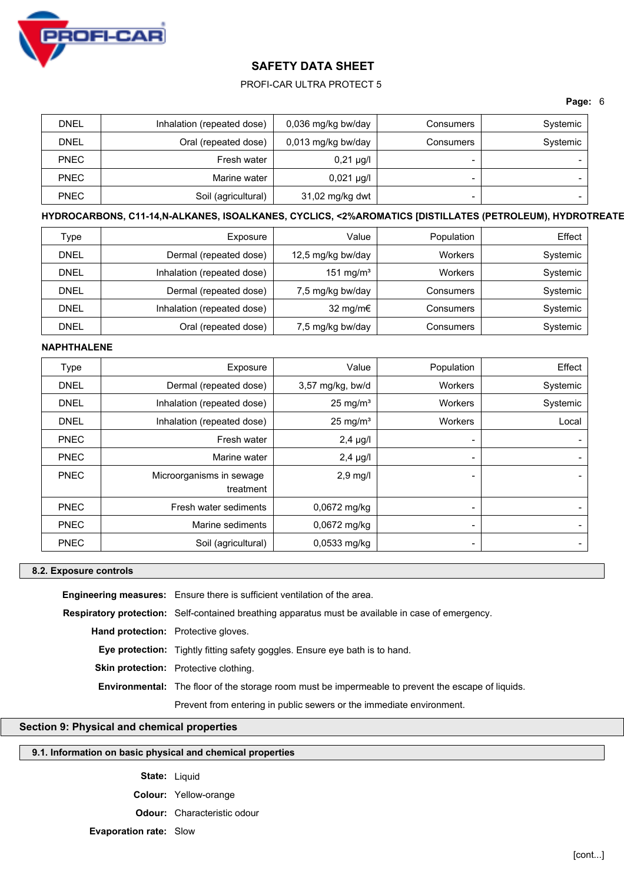

## PROFI-CAR ULTRA PROTECT 5

## **Page:** 6

| <b>DNEL</b> | Inhalation (repeated dose) | 0,036 mg/kg bw/day | Consumers | Systemic |
|-------------|----------------------------|--------------------|-----------|----------|
| <b>DNEL</b> | Oral (repeated dose)       | 0,013 mg/kg bw/day | Consumers | Systemic |
| <b>PNEC</b> | Fresh water                | $0,21 \mu g/l$     | -         |          |
| <b>PNEC</b> | Marine water               | $0,021 \mu g/l$    | -         |          |
| <b>PNEC</b> | Soil (agricultural)        | 31,02 mg/kg dwt    | -         |          |

# **HYDROCARBONS, C11-14,N-ALKANES, ISOALKANES, CYCLICS, <2%AROMATICS [DISTILLATES (PETROLEUM), HYDROTREATED LIGHT]**

| Type        | Exposure                   | Value                 | Population | Effect   |
|-------------|----------------------------|-----------------------|------------|----------|
| <b>DNEL</b> | Dermal (repeated dose)     | 12,5 mg/kg bw/day     | Workers    | Systemic |
| <b>DNEL</b> | Inhalation (repeated dose) | 151 mg/m <sup>3</sup> | Workers    | Systemic |
| <b>DNEL</b> | Dermal (repeated dose)     | 7,5 mg/kg bw/day      | Consumers  | Systemic |
| <b>DNEL</b> | Inhalation (repeated dose) | 32 mg/m $\epsilon$    | Consumers  | Systemic |
| <b>DNEL</b> | Oral (repeated dose)       | 7,5 mg/kg bw/day      | Consumers  | Systemic |

#### **NAPHTHALENE**

| Type        | Exposure                   | Value               | Population               | Effect   |
|-------------|----------------------------|---------------------|--------------------------|----------|
| <b>DNEL</b> | Dermal (repeated dose)     | $3,57$ mg/kg, bw/d  | Workers                  | Systemic |
| <b>DNEL</b> | Inhalation (repeated dose) | $25 \text{ mg/m}^3$ | Workers                  | Systemic |
| <b>DNEL</b> | Inhalation (repeated dose) | $25 \text{ mg/m}^3$ | Workers                  | Local    |
| <b>PNEC</b> | Fresh water                | $2,4$ µg/l          | ٠                        |          |
| <b>PNEC</b> | Marine water               | $2,4$ µg/l          | $\blacksquare$           |          |
| <b>PNEC</b> | Microorganisms in sewage   | $2,9$ mg/l          | $\blacksquare$           |          |
|             | treatment                  |                     |                          |          |
| <b>PNEC</b> | Fresh water sediments      | $0,0672$ mg/kg      | $\blacksquare$           |          |
| <b>PNEC</b> | Marine sediments           | 0,0672 mg/kg        | $\qquad \qquad$          |          |
| <b>PNEC</b> | Soil (agricultural)        | $0,0533$ mg/kg      | $\overline{\phantom{0}}$ |          |

#### **8.2. Exposure controls**

**Engineering measures:** Ensure there is sufficient ventilation of the area. **Respiratory protection:** Self-contained breathing apparatus must be available in case of emergency. **Hand protection:** Protective gloves. **Eye protection:** Tightly fitting safety goggles. Ensure eye bath is to hand. **Skin protection:** Protective clothing. **Environmental:** The floor of the storage room must be impermeable to prevent the escape of liquids. Prevent from entering in public sewers or the immediate environment.

# **Section 9: Physical and chemical properties**

# **9.1. Information on basic physical and chemical properties**

**State:** Liquid

**Colour:** Yellow-orange

**Odour:** Characteristic odour

**Evaporation rate:** Slow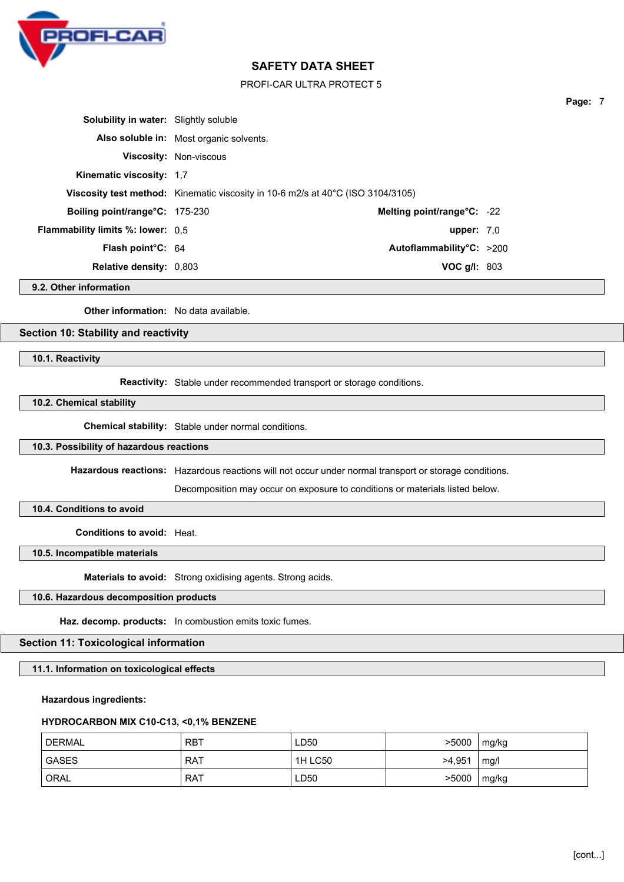

PROFI-CAR ULTRA PROTECT 5

| <b>Solubility in water:</b> Slightly soluble |                                                                                 |                            |  |
|----------------------------------------------|---------------------------------------------------------------------------------|----------------------------|--|
|                                              | Also soluble in: Most organic solvents.                                         |                            |  |
|                                              | <b>Viscosity: Non-viscous</b>                                                   |                            |  |
| Kinematic viscosity: 1.7                     |                                                                                 |                            |  |
|                                              | Viscosity test method: Kinematic viscosity in 10-6 m2/s at 40°C (ISO 3104/3105) |                            |  |
| <b>Boiling point/range °C: 175-230</b>       |                                                                                 | Melting point/range°C: -22 |  |
| <b>Flammability limits %: lower:</b> 0,5     |                                                                                 | upper: $7.0$               |  |
| <b>Flash point C: 64</b>                     |                                                                                 | Autoflammability°C: >200   |  |
| <b>Relative density: 0,803</b>               |                                                                                 | VOC $g/I: 803$             |  |

**9.2. Other information**

**Other information:** No data available.

## **Section 10: Stability and reactivity**

**10.1. Reactivity**

**Reactivity:** Stable under recommended transport or storage conditions.

**10.2. Chemical stability**

**Chemical stability:** Stable under normal conditions.

#### **10.3. Possibility of hazardous reactions**

**Hazardous reactions:** Hazardous reactions will not occur under normal transport or storage conditions.

Decomposition may occur on exposure to conditions or materials listed below.

# **10.4. Conditions to avoid**

**Conditions to avoid:** Heat.

**10.5. Incompatible materials**

**Materials to avoid:** Strong oxidising agents. Strong acids.

## **10.6. Hazardous decomposition products**

**Haz. decomp. products:** In combustion emits toxic fumes.

# **Section 11: Toxicological information**

**11.1. Information on toxicological effects**

**Hazardous ingredients:**

## **HYDROCARBON MIX C10-C13, <0,1% BENZENE**

| DERMAL <sup>'</sup> | <b>RBT</b> | LD50    | >5000  | mg/kg |
|---------------------|------------|---------|--------|-------|
| ' GASES             | <b>RAT</b> | 1H LC50 | >4,951 | mg/l  |
| ' ORAL              | <b>RAT</b> | LD50    | >5000  | mg/kg |

**Page:** 7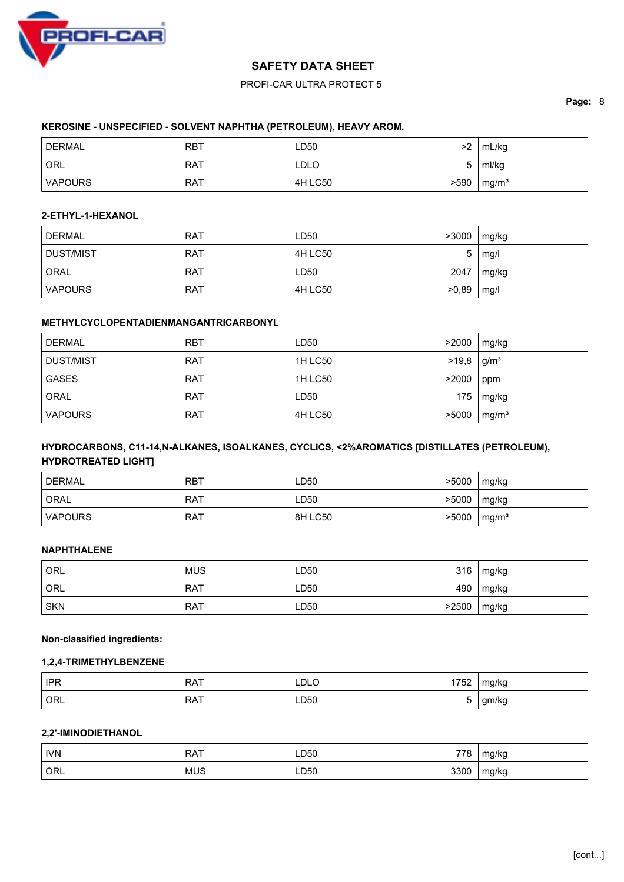

# PROFI-CAR ULTRA PROTECT 5

## **Page:** 8

## **KEROSINE - UNSPECIFIED - SOLVENT NAPHTHA (PETROLEUM), HEAVY AROM.**

| DERMAL <sup>'</sup> | RBT        | LD50        | >2   | mL/kg             |
|---------------------|------------|-------------|------|-------------------|
| ORL <sup>'</sup>    | <b>RAT</b> | <b>LDLO</b> |      | ml/kg             |
| <b>VAPOURS</b>      | <b>RAT</b> | 4H LC50     | >590 | mg/m <sup>3</sup> |

# **2-ETHYL-1-HEXANOL**

| DERMAL           | <b>RAT</b> | LD50    | >3000 | mg/kg |
|------------------|------------|---------|-------|-------|
| <b>DUST/MIST</b> | <b>RAT</b> | 4H LC50 | 5     | mg/l  |
| ORAL             | <b>RAT</b> | LD50    | 2047  | mg/kg |
| <b>VAPOURS</b>   | <b>RAT</b> | 4H LC50 | >0,89 | mg/l  |

# **METHYLCYCLOPENTADIENMANGANTRICARBONYL**

| <b>DERMAL</b>  | <b>RBT</b> | LD50    | >2000 | mg/kg             |
|----------------|------------|---------|-------|-------------------|
| DUST/MIST      | <b>RAT</b> | 1H LC50 | >19.8 | g/m <sup>3</sup>  |
| <b>GASES</b>   | <b>RAT</b> | 1H LC50 | >2000 | ppm               |
| ORAL           | <b>RAT</b> | LD50    | 175   | mg/kg             |
| <b>VAPOURS</b> | <b>RAT</b> | 4H LC50 | >5000 | mg/m <sup>3</sup> |

# **HYDROCARBONS, C11-14,N-ALKANES, ISOALKANES, CYCLICS, <2%AROMATICS [DISTILLATES (PETROLEUM), HYDROTREATED LIGHT]**

| DERMAL         | <b>RBT</b> | LD50    | >5000 | mg/kg             |
|----------------|------------|---------|-------|-------------------|
| <b>ORAL</b>    | <b>RAT</b> | LD50    | >5000 | mg/kg             |
| <b>VAPOURS</b> | <b>RAT</b> | 8H LC50 | >5000 | mg/m <sup>3</sup> |

### **NAPHTHALENE**

| ' ORL      | <b>MUS</b> | LD50 | 316   | mg/kg |
|------------|------------|------|-------|-------|
| ORL        | <b>RAT</b> | LD50 | 490   | mg/kg |
| <b>SKN</b> | <b>RAT</b> | LD50 | >2500 | mg/kg |

## **Non-classified ingredients:**

#### **1,2,4-TRIMETHYLBENZENE**

| IPR | <b>RAT</b> | LDLO | 1700<br>1752 | mg/kg      |
|-----|------------|------|--------------|------------|
| ORL | <b>RAT</b> | LD50 |              | gm/kg<br>ັ |

# **2,2'-IMINODIETHANOL**

| <b>IVN</b> | <b>RAT</b> | LD50 | 778  | ma/ka |
|------------|------------|------|------|-------|
| ORL        | <b>MUS</b> | LD50 | 3300 | mg/kg |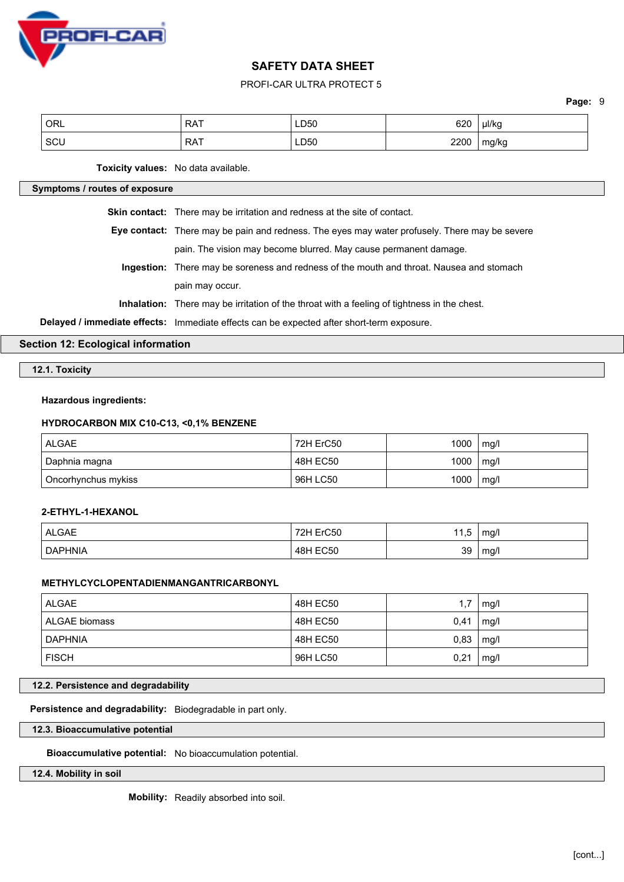

## PROFI-CAR ULTRA PROTECT 5

**Page:** 9

| ORL | <b>RAT</b> | LD50 | 620  | µl/kg |
|-----|------------|------|------|-------|
| SCU | <b>RAT</b> | LD50 | 2200 | mg/kg |

**Toxicity values:** No data available.

## **Symptoms / routes of exposure**

**Skin contact:** There may be irritation and redness at the site of contact.

- **Eye contact:** There may be pain and redness. The eyes may water profusely. There may be severe pain. The vision may become blurred. May cause permanent damage.
	- **Ingestion:** There may be soreness and redness of the mouth and throat. Nausea and stomach pain may occur.

**Inhalation:** There may be irritation of the throat with a feeling of tightness in the chest.

**Delayed / immediate effects:** Immediate effects can be expected after short-term exposure.

**Section 12: Ecological information**

**12.1. Toxicity**

#### **Hazardous ingredients:**

#### **HYDROCARBON MIX C10-C13, <0,1% BENZENE**

| ALGAE                | 72H ErC50 | 1000 | mg/l |
|----------------------|-----------|------|------|
| Daphnia magna        | 48H EC50  | 1000 | mg/l |
| Oncorhynchus mykiss! | 96H LC50  | 1000 | mg/l |

# **2-ETHYL-1-HEXANOL**

| <b>ALGAE</b>   | ErC50<br>72H    | Е<br>ں, ا | mg/l |
|----------------|-----------------|-----------|------|
| <b>DAPHNIA</b> | <b>48H EC50</b> | 39        | mg/l |

## **METHYLCYCLOPENTADIENMANGANTRICARBONYL**

| <b>ALGAE</b>   | 48H EC50 | 1.7  | mg/l |
|----------------|----------|------|------|
| ALGAE biomass  | 48H EC50 | 0.41 | mg/l |
| <b>DAPHNIA</b> | 48H EC50 | 0,83 | mg/l |
| <b>FISCH</b>   | 96H LC50 | 0,21 | mg/l |

**12.2. Persistence and degradability**

**Persistence and degradability:** Biodegradable in part only.

**12.3. Bioaccumulative potential**

**Bioaccumulative potential:** No bioaccumulation potential.

**12.4. Mobility in soil**

**Mobility:** Readily absorbed into soil.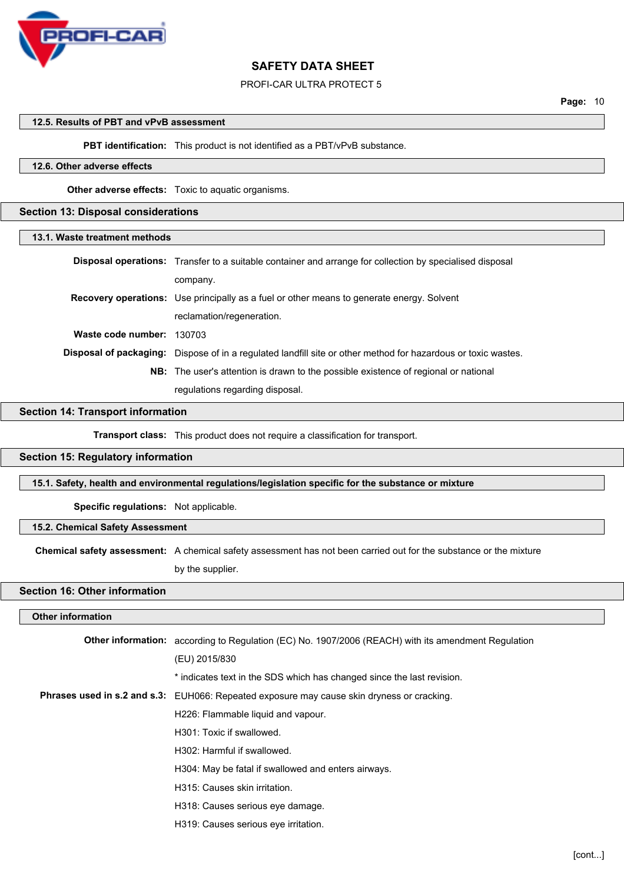

#### PROFI-CAR ULTRA PROTECT 5

#### **12.5. Results of PBT and vPvB assessment**

**PBT identification:** This product is not identified as a PBT/vPvB substance.

# **12.6. Other adverse effects**

**Other adverse effects:** Toxic to aquatic organisms.

## **Section 13: Disposal considerations**

| 13.1. Waste treatment methods |                                                                                                                      |
|-------------------------------|----------------------------------------------------------------------------------------------------------------------|
|                               | <b>Disposal operations:</b> Transfer to a suitable container and arrange for collection by specialised disposal      |
|                               | company.                                                                                                             |
|                               | <b>Recovery operations:</b> Use principally as a fuel or other means to generate energy. Solvent                     |
|                               | reclamation/regeneration.                                                                                            |
| Waste code number:            | 130703                                                                                                               |
|                               | <b>Disposal of packaging:</b> Dispose of in a regulated landfill site or other method for hazardous or toxic wastes. |
|                               | NB: The user's attention is drawn to the possible existence of regional or national                                  |
|                               | regulations regarding disposal.                                                                                      |

#### **Section 14: Transport information**

**Transport class:** This product does not require a classification for transport.

#### **Section 15: Regulatory information**

**15.1. Safety, health and environmental regulations/legislation specific for the substance or mixture**

**Specific regulations:** Not applicable.

## **15.2. Chemical Safety Assessment**

**Chemical safety assessment:** A chemical safety assessment has not been carried out for the substance or the mixture

by the supplier.

# **Section 16: Other information**

#### **Other information**

| <b>Other information:</b> according to Regulation (EC) No. 1907/2006 (REACH) with its amendment Regulation |
|------------------------------------------------------------------------------------------------------------|
| (EU) 2015/830                                                                                              |
| * indicates text in the SDS which has changed since the last revision.                                     |
| <b>Phrases used in s.2 and s.3:</b> EUH066: Repeated exposure may cause skin dryness or cracking.          |
| H226: Flammable liquid and vapour.                                                                         |
| H301: Toxic if swallowed.                                                                                  |
| H302: Harmful if swallowed.                                                                                |
| H304: May be fatal if swallowed and enters airways.                                                        |
| H315: Causes skin irritation.                                                                              |
| H318: Causes serious eye damage.                                                                           |
| H319: Causes serious eye irritation.                                                                       |